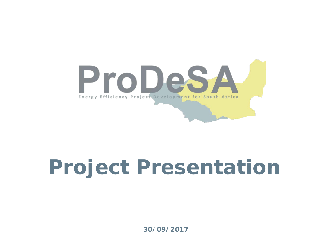

# **Project Presentation**

**30/09/2017**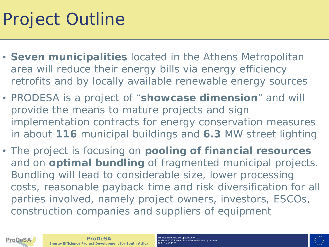### Project Outline

- **Seven municipalities** located in the Athens Metropolitan area will reduce their energy bills via energy efficiency retrofits and by locally available renewable energy sources
- PRODESA is a project of "**showcase dimension**" and will provide the means to mature projects and sign implementation contracts for energy conservation measures in about **116** municipal buildings and **6.3** MW street lighting
- The project is focusing on **pooling of financial resources**  and on **optimal bundling** of fragmented municipal projects. Bundling will lead to considerable size, lower processing costs, reasonable payback time and risk diversification for all parties involved, namely project owners, investors, ESCOs, construction companies and suppliers of equipment



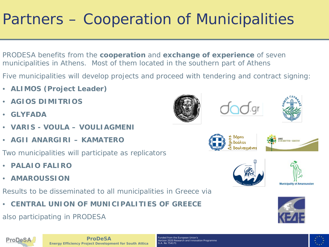#### Partners – Cooperation of Municipalities

- PRODESA benefits from the **cooperation** and **exchange of experience** of seven municipalities in Athens. Most of them located in the southern part of Athens
- Five municipalities will develop projects and proceed with tendering and contract signing:
- **ALIMOS (Project Leader)**
- **AGIOS DIMITRIOS**
- **GLYFADA**
- **VARIS - VOULA – VOULIAGMENI**
- **AGII ANARGIRI – KAMATERO**

Two municipalities will participate as replicators

- **PALAIO FALIRO**
- **AMAROUSSION**

Results to be disseminated to all municipalities in Greece via

• **CENTRAL UNION OF MUNICIPALITIES OF GREECE**

also participating in PRODESA















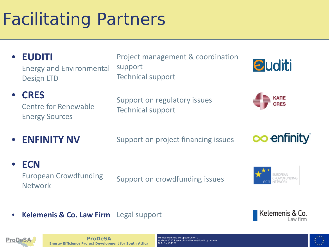## Facilitating Partners

• **EUDITI** Energy and Environmental Design LTD

Project management & coordination support Technical support



• **CRES** Centre for Renewable Energy Sources

Support on regulatory issues Technical support



**ENFINITY NV** Support on project financing issues



#### • **ECN**

European Crowdfunding European Crowdiunding<br>Network



• **Kelemenis & Co. Law Firm** Legal support





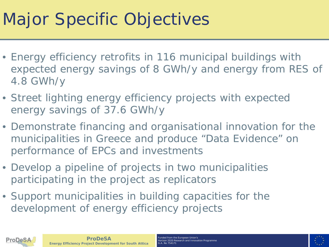### Major Specific Objectives

- Energy efficiency retrofits in 116 municipal buildings with expected energy savings of 8 GWh/y and energy from RES of 4.8 GWh/y
- Street lighting energy efficiency projects with expected energy savings of 37.6 GWh/y
- Demonstrate financing and organisational innovation for the municipalities in Greece and produce "Data Evidence" on performance of EPCs and investments
- Develop a pipeline of projects in two municipalities participating in the project as replicators
- Support municipalities in building capacities for the development of energy efficiency projects



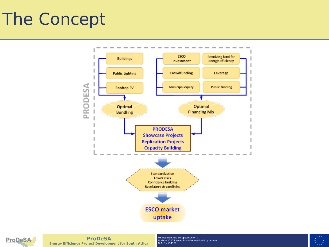## The Concept





**ProDeSA Energy Efficiency Project Development for South Attica**

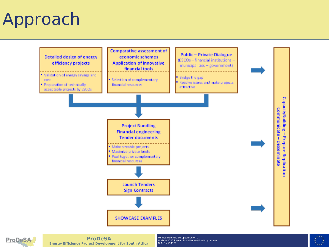#### Approach





**ProDeSA Energy Efficiency Project Development for South Attica**

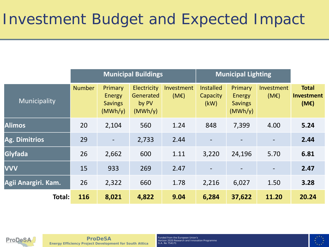|                     | <b>Municipal Buildings</b> |                                                              |                                              |                    | <b>Municipal Lighting</b>            |                                                |                    |                                           |
|---------------------|----------------------------|--------------------------------------------------------------|----------------------------------------------|--------------------|--------------------------------------|------------------------------------------------|--------------------|-------------------------------------------|
| Municipality        | <b>Number</b>              | <b>Primary</b><br><b>Energy</b><br><b>Savings</b><br>(MWh/y) | Electricity<br>Generated<br>by PV<br>(MWh/y) | Investment<br>(ME) | <b>Installed</b><br>Capacity<br>(kW) | Primary<br>Energy<br><b>Savings</b><br>(MWh/y) | Investment<br>(ME) | <b>Total</b><br><b>Investment</b><br>(ME) |
| <b>Alimos</b>       | 20                         | 2,104                                                        | 560                                          | 1.24               | 848                                  | 7,399                                          | 4.00               | 5.24                                      |
| Ag. Dimitrios       | 29                         | $\overline{a}$                                               | 2,733                                        | 2.44               | $\overline{\phantom{a}}$             | $\overline{\phantom{a}}$                       |                    | 2.44                                      |
| Glyfada             | 26                         | 2,662                                                        | 600                                          | 1.11               | 3,220                                | 24,196                                         | 5.70               | 6.81                                      |
| <b>VVV</b>          | 15                         | 933                                                          | 269                                          | 2.47               | $\overline{\phantom{a}}$             | $\overline{\phantom{a}}$                       |                    | 2.47                                      |
| Agii Anargiri. Kam. | 26                         | 2,322                                                        | 660                                          | 1.78               | 2,216                                | 6,027                                          | 1.50               | 3.28                                      |
| Total:              | 116                        | 8,021                                                        | 4,822                                        | 9.04               | 6,284                                | 37,622                                         | 11.20              | 20.24                                     |



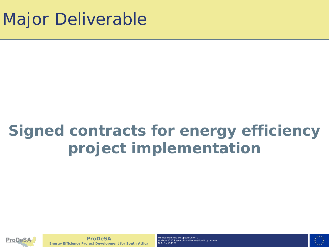#### **Signed contracts for energy efficiency project implementation**



**ProDeSA Energy Efficiency Project Development for South Attica**

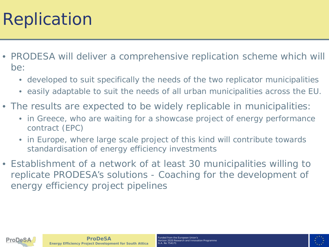#### Replication

- PRODESA will deliver a comprehensive replication scheme which will be:
	- developed to suit specifically the needs of the two replicator municipalities
	- easily adaptable to suit the needs of all urban municipalities across the EU.
- The results are expected to be widely replicable in municipalities:
	- in Greece, who are waiting for a showcase project of energy performance contract (EPC)
	- in Europe, where large scale project of this kind will contribute towards standardisation of energy efficiency investments
- Establishment of a network of at least 30 municipalities willing to replicate PRODESA's solutions - Coaching for the development of energy efficiency project pipelines



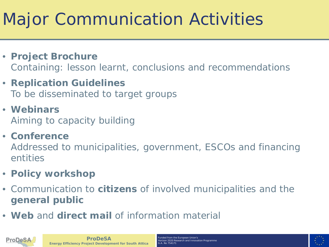## Major Communication Activities

- **Project Brochure** Containing: lesson learnt, conclusions and recommendations
- **Replication Guidelines** To be disseminated to target groups
- **Webinars** Aiming to capacity building
- **Conference**

Addressed to municipalities, government, ESCOs and financing entities

- **Policy workshop**
- Communication to **citizens** of involved municipalities and the **general public**
- **Web** and **direct mail** of information material